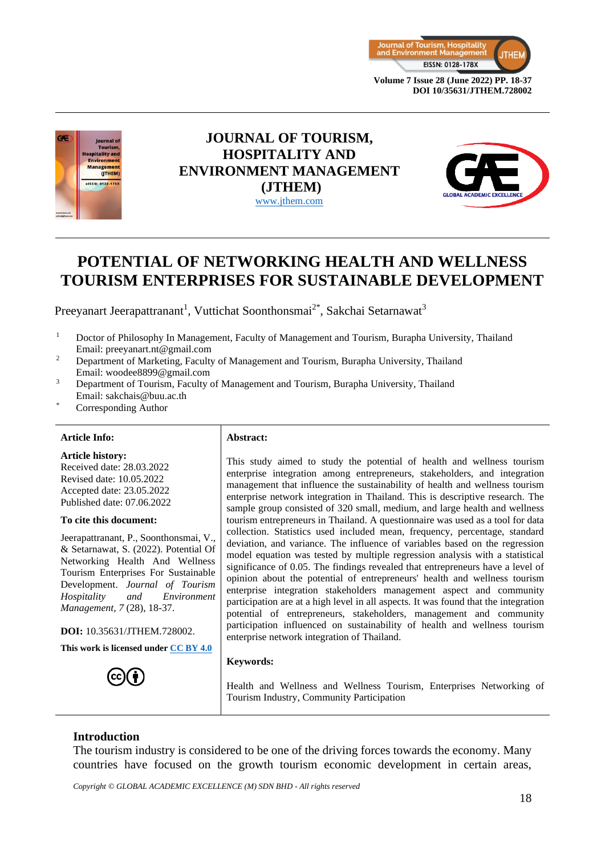



# **JOURNAL OF TOURISM, HOSPITALITY AND ENVIRONMENT MANAGEMENT (JTHEM)** [www.jthem.com](http://www.jthem.com/)



# **POTENTIAL OF NETWORKING HEALTH AND WELLNESS TOURISM ENTERPRISES FOR SUSTAINABLE DEVELOPMENT**

Preeyanart Jeerapattranant<sup>1</sup>, Vuttichat Soonthonsmai<sup>2\*</sup>, Sakchai Setarnawat<sup>3</sup>

- <sup>1</sup> Doctor of Philosophy In Management, Faculty of Management and Tourism, Burapha University, Thailand Email: [preeyanart.nt@gmail.com](mailto:preeyanart.nt@gmail.com)
- <sup>2</sup> Department of Marketing, Faculty of Management and Tourism, Burapha University, Thailand Email: woodee8899@gmail.com
- <sup>3</sup> Department of Tourism, Faculty of Management and Tourism, Burapha University, Thailand Email: sakchais@buu.ac.th
- Corresponding Author

#### **Article Info: Abstract:**

**Article history:** Received date: 28.03.2022 Revised date: 10.05.2022 Accepted date: 23.05.2022 Published date: 07.06.2022

#### **To cite this document:**

Jeerapattranant, P., Soonthonsmai, V., & Setarnawat, S. (2022). Potential Of Networking Health And Wellness Tourism Enterprises For Sustainable Development. *Journal of Tourism Hospitality and Environment Management, 7* (28), 18-37.

**DOI:** 10.35631/JTHEM.728002.

**This work is licensed under [CC BY 4.0](https://creativecommons.org/licenses/by/4.0/?ref=chooser-v1)**



This study aimed to study the potential of health and wellness tourism enterprise integration among entrepreneurs, stakeholders, and integration management that influence the sustainability of health and wellness tourism enterprise network integration in Thailand. This is descriptive research. The sample group consisted of 320 small, medium, and large health and wellness tourism entrepreneurs in Thailand. A questionnaire was used as a tool for data collection. Statistics used included mean, frequency, percentage, standard deviation, and variance. The influence of variables based on the regression model equation was tested by multiple regression analysis with a statistical significance of 0.05. The findings revealed that entrepreneurs have a level of opinion about the potential of entrepreneurs' health and wellness tourism enterprise integration stakeholders management aspect and community participation are at a high level in all aspects. It was found that the integration potential of entrepreneurs, stakeholders, management and community participation influenced on sustainability of health and wellness tourism enterprise network integration of Thailand.

#### **Keywords:**

Health and Wellness and Wellness Tourism, Enterprises Networking of Tourism Industry, Community Participation

#### **Introduction**

The tourism industry is considered to be one of the driving forces towards the economy. Many countries have focused on the growth tourism economic development in certain areas,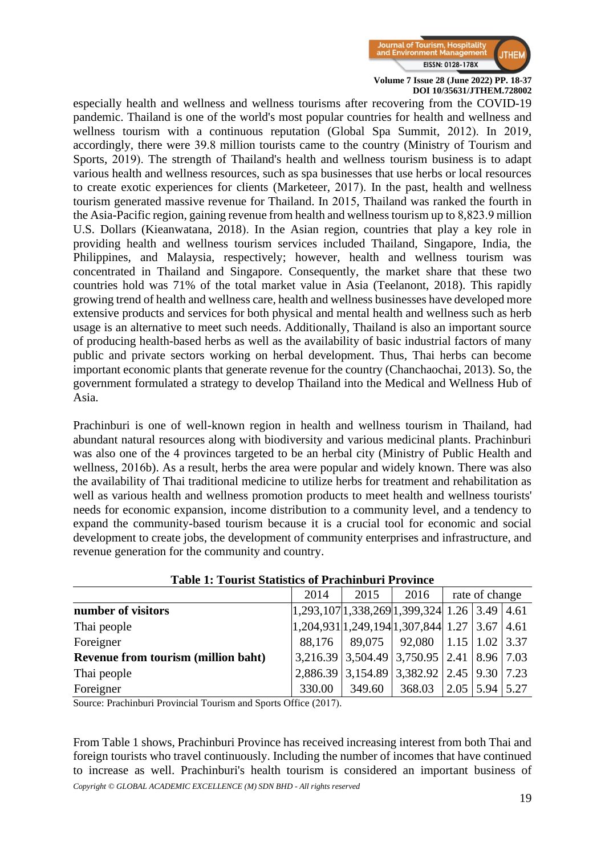

especially health and wellness and wellness tourisms after recovering from the COVID-19 pandemic. Thailand is one of the world's most popular countries for health and wellness and wellness tourism with a continuous reputation (Global Spa Summit, 2012). In 2019, accordingly, there were 39.8 million tourists came to the country (Ministry of Tourism and Sports, 2019). The strength of Thailand's health and wellness tourism business is to adapt various health and wellness resources, such as spa businesses that use herbs or local resources to create exotic experiences for clients (Marketeer, 2017). In the past, health and wellness tourism generated massive revenue for Thailand. In 2015, Thailand was ranked the fourth in the Asia-Pacific region, gaining revenue from health and wellness tourism up to 8,823.9 million U.S. Dollars (Kieanwatana, 2018). In the Asian region, countries that play a key role in providing health and wellness tourism services included Thailand, Singapore, India, the Philippines, and Malaysia, respectively; however, health and wellness tourism was concentrated in Thailand and Singapore. Consequently, the market share that these two countries hold was 71% of the total market value in Asia (Teelanont, 2018). This rapidly growing trend of health and wellness care, health and wellness businesses have developed more extensive products and services for both physical and mental health and wellness such as herb usage is an alternative to meet such needs. Additionally, Thailand is also an important source of producing health-based herbs as well as the availability of basic industrial factors of many public and private sectors working on herbal development. Thus, Thai herbs can become important economic plants that generate revenue for the country (Chanchaochai, 2013). So, the government formulated a strategy to develop Thailand into the Medical and Wellness Hub of Asia.

Prachinburi is one of well-known region in health and wellness tourism in Thailand, had abundant natural resources along with biodiversity and various medicinal plants. Prachinburi was also one of the 4 provinces targeted to be an herbal city (Ministry of Public Health and wellness, 2016b). As a result, herbs the area were popular and widely known. There was also the availability of Thai traditional medicine to utilize herbs for treatment and rehabilitation as well as various health and wellness promotion products to meet health and wellness tourists' needs for economic expansion, income distribution to a community level, and a tendency to expand the community-based tourism because it is a crucial tool for economic and social development to create jobs, the development of community enterprises and infrastructure, and revenue generation for the community and country.

|                                     | 2014                                                                                        | 2015          | 2016                                          | rate of change |                                          |  |
|-------------------------------------|---------------------------------------------------------------------------------------------|---------------|-----------------------------------------------|----------------|------------------------------------------|--|
| number of visitors                  | $ 1,293,107 1,338,269 1,399,324 1.26 3.49 4.61$                                             |               |                                               |                |                                          |  |
| Thai people                         | $\left  1,204,931 \right  1,249,194 \left  1,307,844 \right  1.27 \left  3.67 \right  4.61$ |               |                                               |                |                                          |  |
| Foreigner                           |                                                                                             |               | 88,176   89,075   92,080   1.15   1.02   3.37 |                |                                          |  |
| Revenue from tourism (million baht) |                                                                                             |               | 3,216.39 3,504.49 3,750.95 2.41 8.96 7.03     |                |                                          |  |
| Thai people                         |                                                                                             |               | 2,886.39 3,154.89 3,382.92 2.45 9.30 7.23     |                |                                          |  |
| Foreigner                           | 330.00                                                                                      | 349.60 368.03 |                                               |                | $\vert 2.05 \vert 5.94 \vert 5.27 \vert$ |  |

#### **Table 1: Tourist Statistics of Prachinburi Province**

Source: Prachinburi Provincial Tourism and Sports Office (2017).

*Copyright © GLOBAL ACADEMIC EXCELLENCE (M) SDN BHD - All rights reserved* From Table 1 shows, Prachinburi Province has received increasing interest from both Thai and foreign tourists who travel continuously. Including the number of incomes that have continued to increase as well. Prachinburi's health tourism is considered an important business of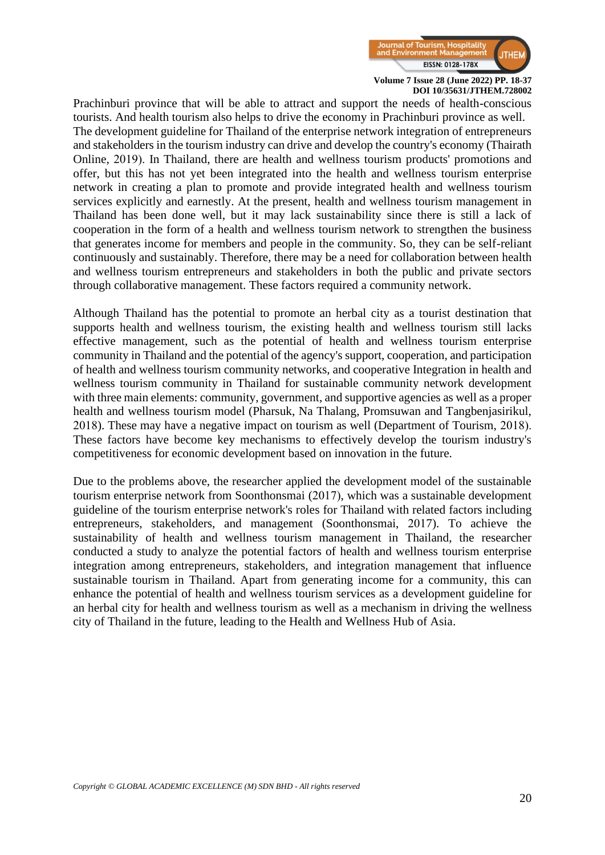

Prachinburi province that will be able to attract and support the needs of health-conscious tourists. And health tourism also helps to drive the economy in Prachinburi province as well. The development guideline for Thailand of the enterprise network integration of entrepreneurs and stakeholders in the tourism industry can drive and develop the country's economy (Thairath Online, 2019). In Thailand, there are health and wellness tourism products' promotions and offer, but this has not yet been integrated into the health and wellness tourism enterprise network in creating a plan to promote and provide integrated health and wellness tourism services explicitly and earnestly. At the present, health and wellness tourism management in Thailand has been done well, but it may lack sustainability since there is still a lack of cooperation in the form of a health and wellness tourism network to strengthen the business that generates income for members and people in the community. So, they can be self-reliant continuously and sustainably. Therefore, there may be a need for collaboration between health and wellness tourism entrepreneurs and stakeholders in both the public and private sectors through collaborative management. These factors required a community network.

Although Thailand has the potential to promote an herbal city as a tourist destination that supports health and wellness tourism, the existing health and wellness tourism still lacks effective management, such as the potential of health and wellness tourism enterprise community in Thailand and the potential of the agency's support, cooperation, and participation of health and wellness tourism community networks, and cooperative Integration in health and wellness tourism community in Thailand for sustainable community network development with three main elements: community, government, and supportive agencies as well as a proper health and wellness tourism model (Pharsuk, Na Thalang, Promsuwan and Tangbenjasirikul, 2018). These may have a negative impact on tourism as well (Department of Tourism, 2018). These factors have become key mechanisms to effectively develop the tourism industry's competitiveness for economic development based on innovation in the future.

Due to the problems above, the researcher applied the development model of the sustainable tourism enterprise network from Soonthonsmai (2017), which was a sustainable development guideline of the tourism enterprise network's roles for Thailand with related factors including entrepreneurs, stakeholders, and management (Soonthonsmai, 2017). To achieve the sustainability of health and wellness tourism management in Thailand, the researcher conducted a study to analyze the potential factors of health and wellness tourism enterprise integration among entrepreneurs, stakeholders, and integration management that influence sustainable tourism in Thailand. Apart from generating income for a community, this can enhance the potential of health and wellness tourism services as a development guideline for an herbal city for health and wellness tourism as well as a mechanism in driving the wellness city of Thailand in the future, leading to the Health and Wellness Hub of Asia.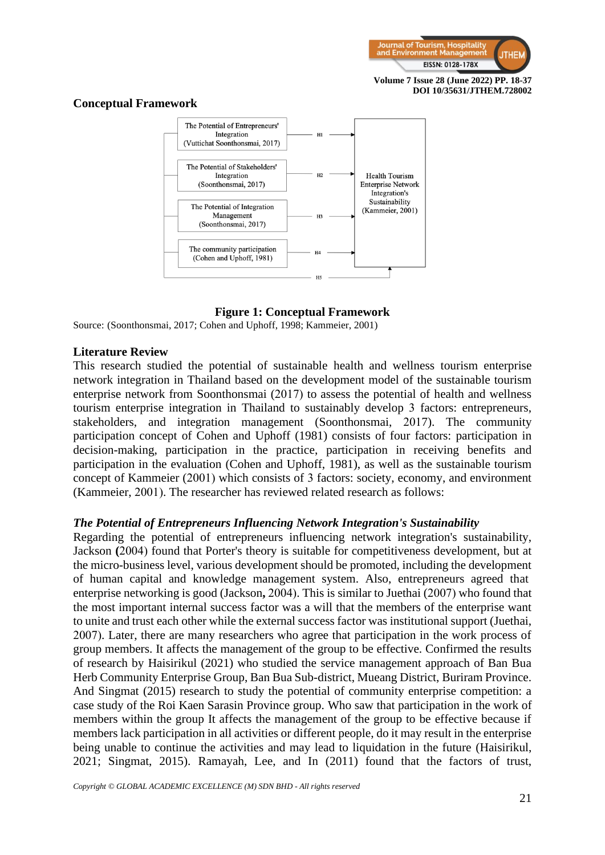

#### **Conceptual Framework**



#### **Figure 1: Conceptual Framework**

Source: (Soonthonsmai, 2017; Cohen and Uphoff, 1998; Kammeier, 2001)

#### **Literature Review**

This research studied the potential of sustainable health and wellness tourism enterprise network integration in Thailand based on the development model of the sustainable tourism enterprise network from Soonthonsmai (2017) to assess the potential of health and wellness tourism enterprise integration in Thailand to sustainably develop 3 factors: entrepreneurs, stakeholders, and integration management (Soonthonsmai, 2017). The community participation concept of Cohen and Uphoff (1981) consists of four factors: participation in decision-making, participation in the practice, participation in receiving benefits and participation in the evaluation (Cohen and Uphoff, 1981), as well as the sustainable tourism concept of Kammeier (2001) which consists of 3 factors: society, economy, and environment (Kammeier, 2001). The researcher has reviewed related research as follows:

#### *The Potential of Entrepreneurs Influencing Network Integration's Sustainability*

Regarding the potential of entrepreneurs influencing network integration's sustainability, Jackson **(**2004) found that Porter's theory is suitable for competitiveness development, but at the micro-business level, various development should be promoted, including the development of human capital and knowledge management system. Also, entrepreneurs agreed that enterprise networking is good (Jackson**,** 2004). This is similar to Juethai (2007) who found that the most important internal success factor was a will that the members of the enterprise want to unite and trust each other while the external success factor was institutional support (Juethai, 2007). Later, there are many researchers who agree that participation in the work process of group members. It affects the management of the group to be effective. Confirmed the results of research by Haisirikul (2021) who studied the service management approach of Ban Bua Herb Community Enterprise Group, Ban Bua Sub-district, Mueang District, Buriram Province. And Singmat (2015) research to study the potential of community enterprise competition: a case study of the Roi Kaen Sarasin Province group. Who saw that participation in the work of members within the group It affects the management of the group to be effective because if members lack participation in all activities or different people, do it may result in the enterprise being unable to continue the activities and may lead to liquidation in the future (Haisirikul, 2021; Singmat, 2015). Ramayah, Lee, and In (2011) found that the factors of trust,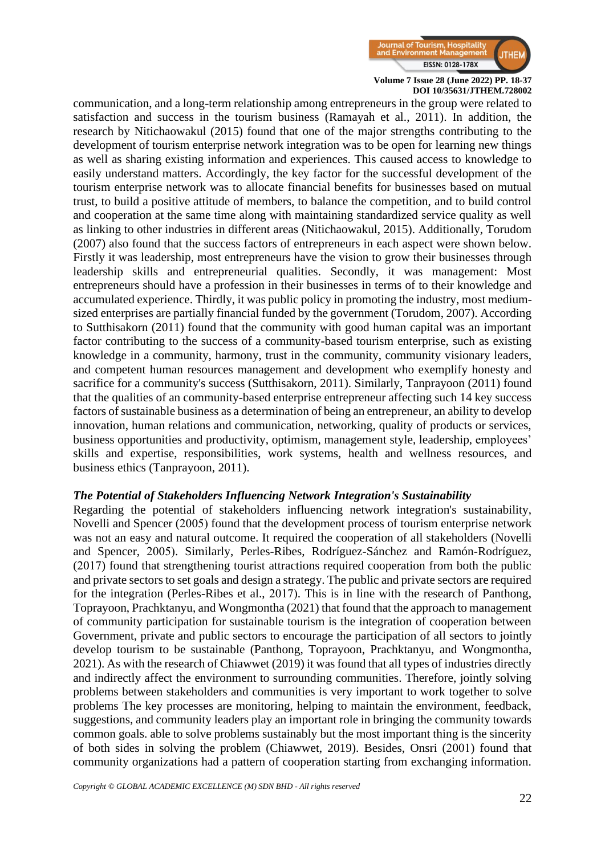

communication, and a long-term relationship among entrepreneurs in the group were related to satisfaction and success in the tourism business (Ramayah et al., 2011). In addition, the research by Nitichaowakul (2015) found that one of the major strengths contributing to the development of tourism enterprise network integration was to be open for learning new things as well as sharing existing information and experiences. This caused access to knowledge to easily understand matters. Accordingly, the key factor for the successful development of the tourism enterprise network was to allocate financial benefits for businesses based on mutual trust, to build a positive attitude of members, to balance the competition, and to build control and cooperation at the same time along with maintaining standardized service quality as well as linking to other industries in different areas (Nitichaowakul, 2015). Additionally, Torudom (2007) also found that the success factors of entrepreneurs in each aspect were shown below. Firstly it was leadership, most entrepreneurs have the vision to grow their businesses through leadership skills and entrepreneurial qualities. Secondly, it was management: Most entrepreneurs should have a profession in their businesses in terms of to their knowledge and accumulated experience. Thirdly, it was public policy in promoting the industry, most mediumsized enterprises are partially financial funded by the government (Torudom, 2007). According to Sutthisakorn (2011) found that the community with good human capital was an important factor contributing to the success of a community-based tourism enterprise, such as existing knowledge in a community, harmony, trust in the community, community visionary leaders, and competent human resources management and development who exemplify honesty and sacrifice for a community's success (Sutthisakorn, 2011). Similarly, Tanprayoon (2011) found that the qualities of an community-based enterprise entrepreneur affecting such 14 key success factors of sustainable business as a determination of being an entrepreneur, an ability to develop innovation, human relations and communication, networking, quality of products or services, business opportunities and productivity, optimism, management style, leadership, employees' skills and expertise, responsibilities, work systems, health and wellness resources, and business ethics (Tanprayoon, 2011).

#### *The Potential of Stakeholders Influencing Network Integration's Sustainability*

Regarding the potential of stakeholders influencing network integration's sustainability, Novelli and Spencer (2005) found that the development process of tourism enterprise network was not an easy and natural outcome. It required the cooperation of all stakeholders (Novelli and Spencer, 2005). Similarly, Perles-Ribes, Rodríguez-Sánchez and Ramón-Rodríguez, (2017) found that strengthening tourist attractions required cooperation from both the public and private sectors to set goals and design a strategy. The public and private sectors are required for the integration (Perles-Ribes et al., 2017). This is in line with the research of Panthong, Toprayoon, Prachktanyu, and Wongmontha (2021) that found that the approach to management of community participation for sustainable tourism is the integration of cooperation between Government, private and public sectors to encourage the participation of all sectors to jointly develop tourism to be sustainable (Panthong, Toprayoon, Prachktanyu, and Wongmontha, 2021). As with the research of Chiawwet (2019) it was found that all types of industries directly and indirectly affect the environment to surrounding communities. Therefore, jointly solving problems between stakeholders and communities is very important to work together to solve problems The key processes are monitoring, helping to maintain the environment, feedback, suggestions, and community leaders play an important role in bringing the community towards common goals. able to solve problems sustainably but the most important thing is the sincerity of both sides in solving the problem (Chiawwet, 2019). Besides, Onsri (2001) found that community organizations had a pattern of cooperation starting from exchanging information.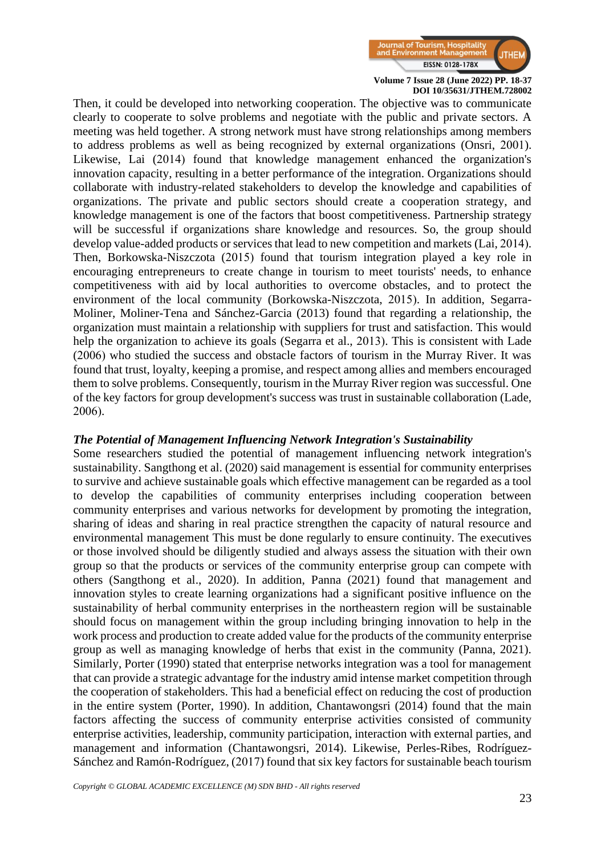

Then, it could be developed into networking cooperation. The objective was to communicate clearly to cooperate to solve problems and negotiate with the public and private sectors. A meeting was held together. A strong network must have strong relationships among members to address problems as well as being recognized by external organizations (Onsri, 2001). Likewise, Lai (2014) found that knowledge management enhanced the organization's innovation capacity, resulting in a better performance of the integration. Organizations should collaborate with industry-related stakeholders to develop the knowledge and capabilities of organizations. The private and public sectors should create a cooperation strategy, and knowledge management is one of the factors that boost competitiveness. Partnership strategy will be successful if organizations share knowledge and resources. So, the group should develop value-added products or services that lead to new competition and markets (Lai, 2014). Then, Borkowska-Niszczota (2015) found that tourism integration played a key role in encouraging entrepreneurs to create change in tourism to meet tourists' needs, to enhance competitiveness with aid by local authorities to overcome obstacles, and to protect the environment of the local community (Borkowska-Niszczota, 2015). In addition, Segarra-Moliner, Moliner-Tena and Sánchez-Garcia (2013) found that regarding a relationship, the organization must maintain a relationship with suppliers for trust and satisfaction. This would help the organization to achieve its goals (Segarra et al., 2013). This is consistent with Lade (2006) who studied the success and obstacle factors of tourism in the Murray River. It was found that trust, loyalty, keeping a promise, and respect among allies and members encouraged them to solve problems. Consequently, tourism in the Murray River region was successful. One of the key factors for group development's success was trust in sustainable collaboration (Lade, 2006).

# *The Potential of Management Influencing Network Integration's Sustainability*

Some researchers studied the potential of management influencing network integration's sustainability. Sangthong et al. (2020) said management is essential for community enterprises to survive and achieve sustainable goals which effective management can be regarded as a tool to develop the capabilities of community enterprises including cooperation between community enterprises and various networks for development by promoting the integration, sharing of ideas and sharing in real practice strengthen the capacity of natural resource and environmental management This must be done regularly to ensure continuity. The executives or those involved should be diligently studied and always assess the situation with their own group so that the products or services of the community enterprise group can compete with others (Sangthong et al., 2020). In addition, Panna (2021) found that management and innovation styles to create learning organizations had a significant positive influence on the sustainability of herbal community enterprises in the northeastern region will be sustainable should focus on management within the group including bringing innovation to help in the work process and production to create added value for the products of the community enterprise group as well as managing knowledge of herbs that exist in the community (Panna, 2021). Similarly, Porter (1990) stated that enterprise networks integration was a tool for management that can provide a strategic advantage for the industry amid intense market competition through the cooperation of stakeholders. This had a beneficial effect on reducing the cost of production in the entire system (Porter, 1990). In addition, Chantawongsri (2014) found that the main factors affecting the success of community enterprise activities consisted of community enterprise activities, leadership, community participation, interaction with external parties, and management and information (Chantawongsri, 2014). Likewise, Perles-Ribes, Rodríguez-Sánchez and Ramón-Rodríguez, (2017) found that six key factors for sustainable beach tourism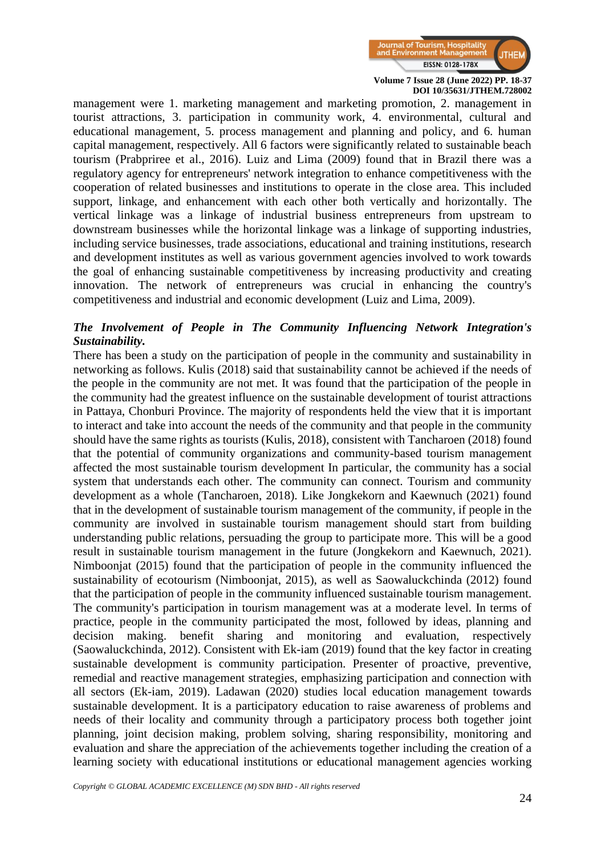

management were 1. marketing management and marketing promotion, 2. management in tourist attractions, 3. participation in community work, 4. environmental, cultural and educational management, 5. process management and planning and policy, and 6. human capital management, respectively. All 6 factors were significantly related to sustainable beach tourism (Prabpriree et al., 2016). Luiz and Lima (2009) found that in Brazil there was a regulatory agency for entrepreneurs' network integration to enhance competitiveness with the cooperation of related businesses and institutions to operate in the close area. This included support, linkage, and enhancement with each other both vertically and horizontally. The vertical linkage was a linkage of industrial business entrepreneurs from upstream to downstream businesses while the horizontal linkage was a linkage of supporting industries, including service businesses, trade associations, educational and training institutions, research and development institutes as well as various government agencies involved to work towards the goal of enhancing sustainable competitiveness by increasing productivity and creating innovation. The network of entrepreneurs was crucial in enhancing the country's competitiveness and industrial and economic development (Luiz and Lima, 2009).

# *The Involvement of People in The Community Influencing Network Integration's Sustainability.*

There has been a study on the participation of people in the community and sustainability in networking as follows. Kulis (2018) said that sustainability cannot be achieved if the needs of the people in the community are not met. It was found that the participation of the people in the community had the greatest influence on the sustainable development of tourist attractions in Pattaya, Chonburi Province. The majority of respondents held the view that it is important to interact and take into account the needs of the community and that people in the community should have the same rights as tourists (Kulis, 2018), consistent with Tancharoen (2018) found that the potential of community organizations and community-based tourism management affected the most sustainable tourism development In particular, the community has a social system that understands each other. The community can connect. Tourism and community development as a whole (Tancharoen, 2018). Like Jongkekorn and Kaewnuch (2021) found that in the development of sustainable tourism management of the community, if people in the community are involved in sustainable tourism management should start from building understanding public relations, persuading the group to participate more. This will be a good result in sustainable tourism management in the future (Jongkekorn and Kaewnuch, 2021). Nimboonjat (2015) found that the participation of people in the community influenced the sustainability of ecotourism (Nimboonjat, 2015), as well as Saowaluckchinda (2012) found that the participation of people in the community influenced sustainable tourism management. The community's participation in tourism management was at a moderate level. In terms of practice, people in the community participated the most, followed by ideas, planning and decision making. benefit sharing and monitoring and evaluation, respectively (Saowaluckchinda, 2012). Consistent with Ek-iam (2019) found that the key factor in creating sustainable development is community participation. Presenter of proactive, preventive, remedial and reactive management strategies, emphasizing participation and connection with all sectors (Ek-iam, 2019). Ladawan (2020) studies local education management towards sustainable development. It is a participatory education to raise awareness of problems and needs of their locality and community through a participatory process both together joint planning, joint decision making, problem solving, sharing responsibility, monitoring and evaluation and share the appreciation of the achievements together including the creation of a learning society with educational institutions or educational management agencies working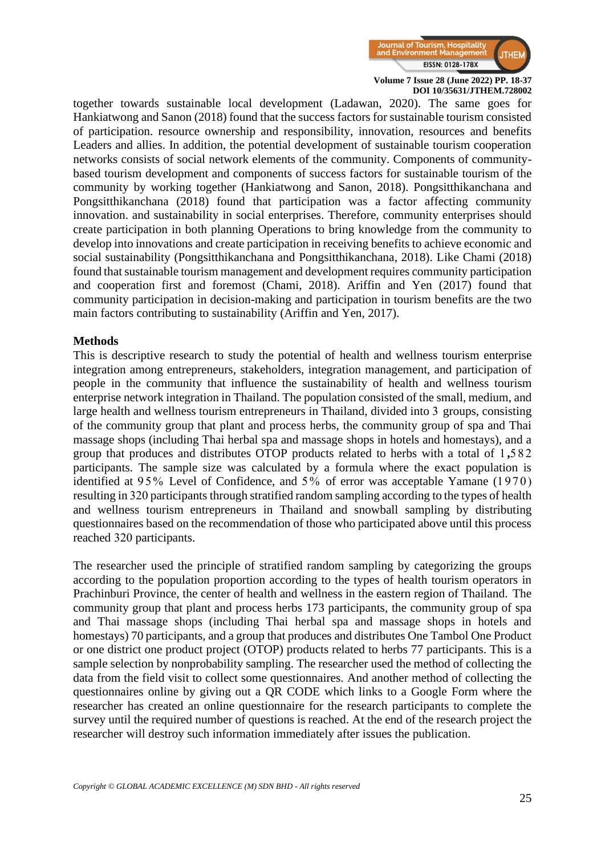

together towards sustainable local development (Ladawan, 2020). The same goes for Hankiatwong and Sanon (2018) found that the success factors for sustainable tourism consisted of participation. resource ownership and responsibility, innovation, resources and benefits Leaders and allies. In addition, the potential development of sustainable tourism cooperation networks consists of social network elements of the community. Components of communitybased tourism development and components of success factors for sustainable tourism of the community by working together (Hankiatwong and Sanon, 2018). Pongsitthikanchana and Pongsitthikanchana (2018) found that participation was a factor affecting community innovation. and sustainability in social enterprises. Therefore, community enterprises should create participation in both planning Operations to bring knowledge from the community to develop into innovations and create participation in receiving benefits to achieve economic and social sustainability (Pongsitthikanchana and Pongsitthikanchana, 2018). Like Chami (2018) found that sustainable tourism management and development requires community participation and cooperation first and foremost (Chami, 2018). Ariffin and Yen (2017) found that community participation in decision-making and participation in tourism benefits are the two main factors contributing to sustainability (Ariffin and Yen, 2017).

#### **Methods**

This is descriptive research to study the potential of health and wellness tourism enterprise integration among entrepreneurs, stakeholders, integration management, and participation of people in the community that influence the sustainability of health and wellness tourism enterprise network integration in Thailand. The population consisted of the small, medium, and large health and wellness tourism entrepreneurs in Thailand, divided into 3 groups, consisting of the community group that plant and process herbs, the community group of spa and Thai massage shops (including Thai herbal spa and massage shops in hotels and homestays), and a group that produces and distributes OTOP products related to herbs with a total of 1 **,**582 participants. The sample size was calculated by a formula where the exact population is identified at  $95\%$  Level of Confidence, and  $5\%$  of error was acceptable Yamane (1970) resulting in 320 participants through stratified random sampling according to the types of health and wellness tourism entrepreneurs in Thailand and snowball sampling by distributing questionnaires based on the recommendation of those who participated above until this process reached 320 participants.

The researcher used the principle of stratified random sampling by categorizing the groups according to the population proportion according to the types of health tourism operators in Prachinburi Province, the center of health and wellness in the eastern region of Thailand. The community group that plant and process herbs 173 participants, the community group of spa and Thai massage shops (including Thai herbal spa and massage shops in hotels and homestays) 70 participants, and a group that produces and distributes One Tambol One Product or one district one product project (OTOP) products related to herbs 77 participants. This is a sample selection by nonprobability sampling. The researcher used the method of collecting the data from the field visit to collect some questionnaires. And another method of collecting the questionnaires online by giving out a QR CODE which links to a Google Form where the researcher has created an online questionnaire for the research participants to complete the survey until the required number of questions is reached. At the end of the research project the researcher will destroy such information immediately after issues the publication.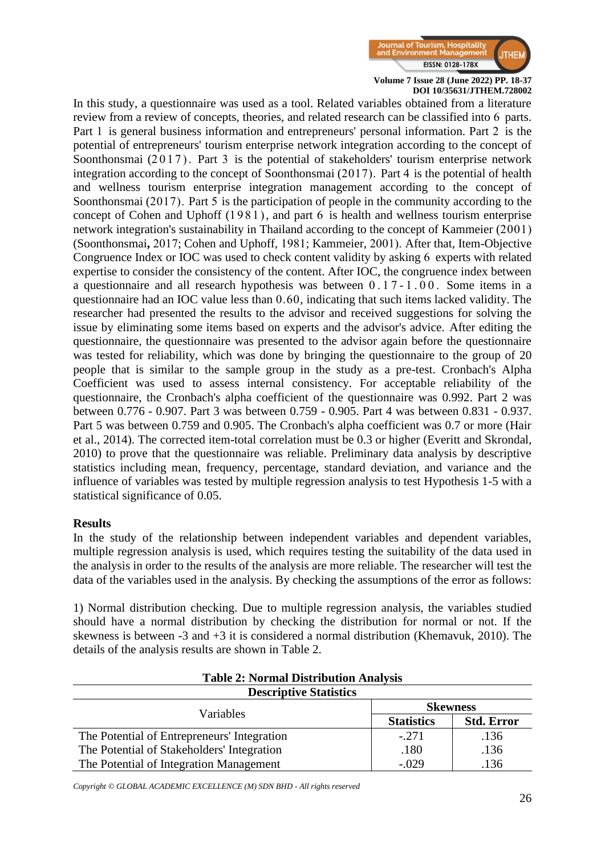

In this study, a questionnaire was used as a tool. Related variables obtained from a literature review from a review of concepts, theories, and related research can be classified into 6 parts. Part 1 is general business information and entrepreneurs' personal information. Part 2 is the potential of entrepreneurs' tourism enterprise network integration according to the concept of Soonthonsmai  $(2017)$ . Part 3 is the potential of stakeholders' tourism enterprise network integration according to the concept of Soonthonsmai (2017). Part 4 is the potential of health and wellness tourism enterprise integration management according to the concept of Soonthonsmai (2017). Part 5 is the participation of people in the community according to the concept of Cohen and Uphoff (1981), and part 6 is health and wellness tourism enterprise network integration's sustainability in Thailand according to the concept of Kammeier (2001) (Soonthonsmai**,** 2017; Cohen and Uphoff, 1981; Kammeier, 2001). After that, Item-Objective Congruence Index or IOC was used to check content validity by asking 6 experts with related expertise to consider the consistency of the content. After IOC, the congruence index between a questionnaire and all research hypothesis was between 0.17 - 1 . 0 0 . Some items in a questionnaire had an IOC value less than 0.60, indicating that such items lacked validity. The researcher had presented the results to the advisor and received suggestions for solving the issue by eliminating some items based on experts and the advisor's advice. After editing the questionnaire, the questionnaire was presented to the advisor again before the questionnaire was tested for reliability, which was done by bringing the questionnaire to the group of 20 people that is similar to the sample group in the study as a pre-test. Cronbach's Alpha Coefficient was used to assess internal consistency. For acceptable reliability of the questionnaire, the Cronbach's alpha coefficient of the questionnaire was 0.992. Part 2 was between 0.776 - 0.907. Part 3 was between 0.759 - 0.905. Part 4 was between 0.831 - 0.937. Part 5 was between 0.759 and 0.905. The Cronbach's alpha coefficient was 0.7 or more (Hair et al., 2014). The corrected item-total correlation must be 0.3 or higher (Everitt and Skrondal, 2010) to prove that the questionnaire was reliable. Preliminary data analysis by descriptive statistics including mean, frequency, percentage, standard deviation, and variance and the influence of variables was tested by multiple regression analysis to test Hypothesis 1-5 with a statistical significance of 0.05.

# **Results**

In the study of the relationship between independent variables and dependent variables, multiple regression analysis is used, which requires testing the suitability of the data used in the analysis in order to the results of the analysis are more reliable. The researcher will test the data of the variables used in the analysis. By checking the assumptions of the error as follows:

1) Normal distribution checking. Due to multiple regression analysis, the variables studied should have a normal distribution by checking the distribution for normal or not. If the skewness is between -3 and +3 it is considered a normal distribution (Khemavuk, 2010). The details of the analysis results are shown in Table 2.

| <b>Table 2: Normal Distribution Analysis</b> |                   |                   |  |  |  |  |
|----------------------------------------------|-------------------|-------------------|--|--|--|--|
| <b>Descriptive Statistics</b>                |                   |                   |  |  |  |  |
| Variables                                    | <b>Skewness</b>   |                   |  |  |  |  |
|                                              | <b>Statistics</b> | <b>Std. Error</b> |  |  |  |  |
| The Potential of Entrepreneurs' Integration  | $-.271$           | .136              |  |  |  |  |
| The Potential of Stakeholders' Integration   | .180              | .136              |  |  |  |  |
| The Potential of Integration Management      | $-.029$           | .136              |  |  |  |  |

**Table 2: Normal Distribution Analysis**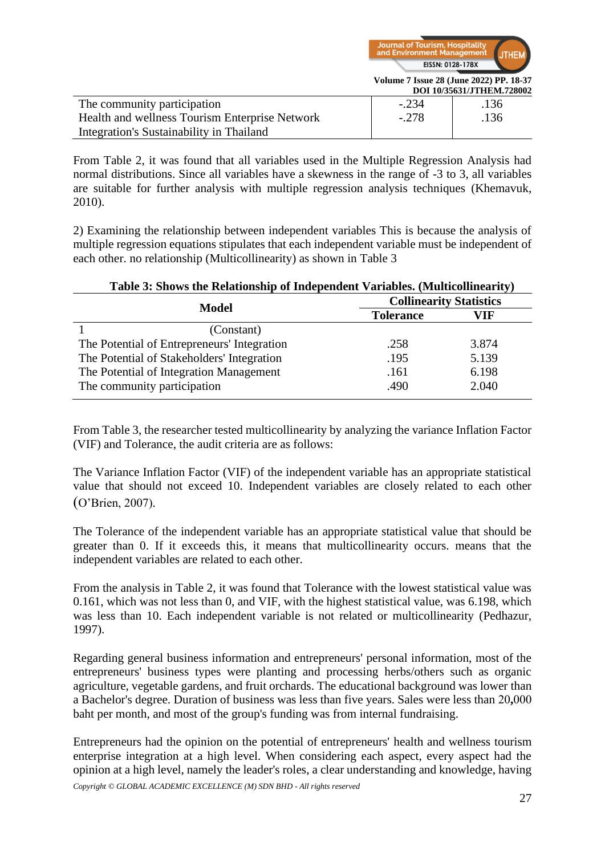

**Volume 7 Issue 28 (June 2022) PP. 18-37**

|                                                | DOI 10/35631/JTHEM.728002 |      |  |  |
|------------------------------------------------|---------------------------|------|--|--|
| The community participation                    | $-.234$                   | .136 |  |  |
| Health and wellness Tourism Enterprise Network | $-.278$                   | .136 |  |  |
| Integration's Sustainability in Thailand       |                           |      |  |  |

From Table 2, it was found that all variables used in the Multiple Regression Analysis had normal distributions. Since all variables have a skewness in the range of -3 to 3, all variables are suitable for further analysis with multiple regression analysis techniques (Khemavuk, 2010).

2) Examining the relationship between independent variables This is because the analysis of multiple regression equations stipulates that each independent variable must be independent of each other. no relationship (Multicollinearity) as shown in Table 3

| <b>Table 9. Shows the Kelationship of Independent Variables.</b> (Municommearity) |                                |       |  |  |  |
|-----------------------------------------------------------------------------------|--------------------------------|-------|--|--|--|
| <b>Model</b>                                                                      | <b>Collinearity Statistics</b> |       |  |  |  |
|                                                                                   | <b>Tolerance</b>               | V I F |  |  |  |
| (Constant)                                                                        |                                |       |  |  |  |
| The Potential of Entrepreneurs' Integration                                       | .258                           | 3.874 |  |  |  |
| The Potential of Stakeholders' Integration                                        | .195                           | 5.139 |  |  |  |
| The Potential of Integration Management                                           | .161                           | 6.198 |  |  |  |
| The community participation                                                       | .490                           | 2.040 |  |  |  |

**Table 3: Shows the Relationship of Independent Variables. (Multicollinearity)**

From Table 3, the researcher tested multicollinearity by analyzing the variance Inflation Factor (VIF) and Tolerance, the audit criteria are as follows:

The Variance Inflation Factor (VIF) of the independent variable has an appropriate statistical value that should not exceed 10. Independent variables are closely related to each other (O'Brien, 2007).

The Tolerance of the independent variable has an appropriate statistical value that should be greater than 0. If it exceeds this, it means that multicollinearity occurs. means that the independent variables are related to each other.

From the analysis in Table 2, it was found that Tolerance with the lowest statistical value was 0.161, which was not less than 0, and VIF, with the highest statistical value, was 6.198, which was less than 10. Each independent variable is not related or multicollinearity (Pedhazur, 1997).

Regarding general business information and entrepreneurs' personal information, most of the entrepreneurs' business types were planting and processing herbs/others such as organic agriculture, vegetable gardens, and fruit orchards. The educational background was lower than a Bachelor's degree. Duration of business was less than five years. Sales were less than 20**,**000 baht per month, and most of the group's funding was from internal fundraising.

*Copyright © GLOBAL ACADEMIC EXCELLENCE (M) SDN BHD - All rights reserved* Entrepreneurs had the opinion on the potential of entrepreneurs' health and wellness tourism enterprise integration at a high level. When considering each aspect, every aspect had the opinion at a high level, namely the leader's roles, a clear understanding and knowledge, having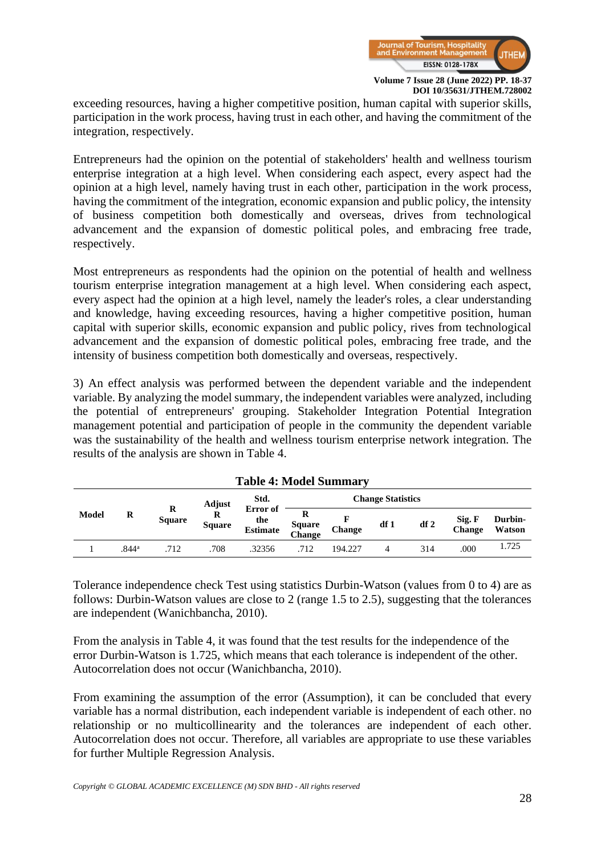

exceeding resources, having a higher competitive position, human capital with superior skills, participation in the work process, having trust in each other, and having the commitment of the integration, respectively.

Entrepreneurs had the opinion on the potential of stakeholders' health and wellness tourism enterprise integration at a high level. When considering each aspect, every aspect had the opinion at a high level, namely having trust in each other, participation in the work process, having the commitment of the integration, economic expansion and public policy, the intensity of business competition both domestically and overseas, drives from technological advancement and the expansion of domestic political poles, and embracing free trade, respectively.

Most entrepreneurs as respondents had the opinion on the potential of health and wellness tourism enterprise integration management at a high level. When considering each aspect, every aspect had the opinion at a high level, namely the leader's roles, a clear understanding and knowledge, having exceeding resources, having a higher competitive position, human capital with superior skills, economic expansion and public policy, rives from technological advancement and the expansion of domestic political poles, embracing free trade, and the intensity of business competition both domestically and overseas, respectively.

3) An effect analysis was performed between the dependent variable and the independent variable. By analyzing the model summary, the independent variables were analyzed, including the potential of entrepreneurs' grouping. Stakeholder Integration Potential Integration management potential and participation of people in the community the dependent variable was the sustainability of the health and wellness tourism enterprise network integration. The results of the analysis are shown in Table 4.

| 1 adie 4: Model Summary |                   |                    |               |                                    |                              |         |     |     |                         |                   |
|-------------------------|-------------------|--------------------|---------------|------------------------------------|------------------------------|---------|-----|-----|-------------------------|-------------------|
|                         |                   |                    | Adjust        | Std.                               | <b>Change Statistics</b>     |         |     |     |                         |                   |
| Model                   | R                 | R<br><b>Square</b> | <b>Square</b> | Error of<br>the<br><b>Estimate</b> | R<br><b>Square</b><br>Change | Change  | df1 | df2 | Sig. F<br><b>Change</b> | Durbin-<br>Watson |
|                         | .844 <sup>a</sup> | .712               | 708           | .32356                             | .712                         | 194.227 |     | 314 | .000                    | 1.725             |

|  |  |  | <b>Table 4: Model Summary</b> |
|--|--|--|-------------------------------|
|--|--|--|-------------------------------|

Tolerance independence check Test using statistics Durbin-Watson (values from 0 to 4) are as follows: Durbin-Watson values are close to 2 (range 1.5 to 2.5), suggesting that the tolerances are independent (Wanichbancha, 2010).

From the analysis in Table 4, it was found that the test results for the independence of the error Durbin-Watson is 1.725, which means that each tolerance is independent of the other. Autocorrelation does not occur (Wanichbancha, 2010).

From examining the assumption of the error (Assumption), it can be concluded that every variable has a normal distribution, each independent variable is independent of each other. no relationship or no multicollinearity and the tolerances are independent of each other. Autocorrelation does not occur. Therefore, all variables are appropriate to use these variables for further Multiple Regression Analysis.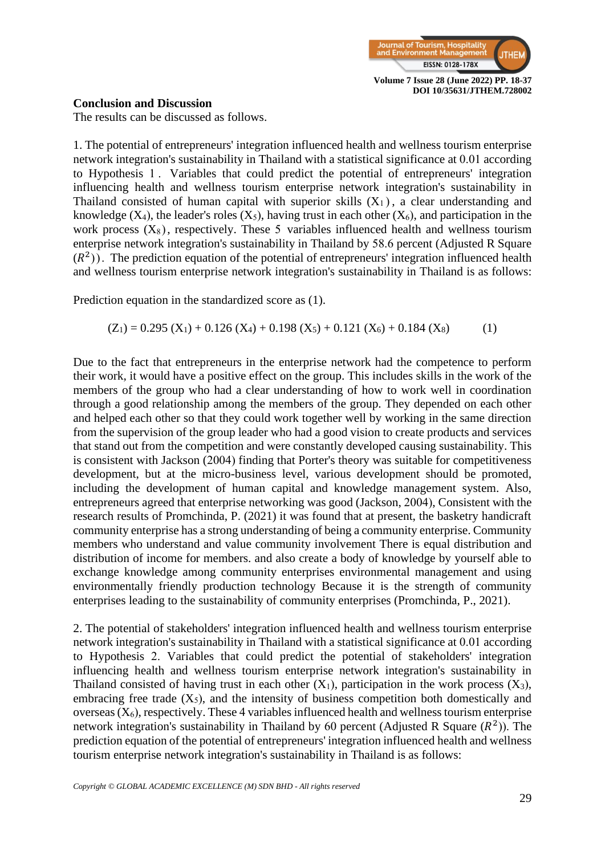

#### **Conclusion and Discussion**

The results can be discussed as follows.

1. The potential of entrepreneurs' integration influenced health and wellness tourism enterprise network integration's sustainability in Thailand with a statistical significance at 0.01 according to Hypothesis 1. Variables that could predict the potential of entrepreneurs' integration influencing health and wellness tourism enterprise network integration's sustainability in Thailand consisted of human capital with superior skills  $(X_1)$ , a clear understanding and knowledge  $(X_4)$ , the leader's roles  $(X_5)$ , having trust in each other  $(X_6)$ , and participation in the work process  $(X_8)$ , respectively. These 5 variables influenced health and wellness tourism enterprise network integration's sustainability in Thailand by 58.6 percent (Adjusted R Square  $(R<sup>2</sup>)$ ). The prediction equation of the potential of entrepreneurs' integration influenced health and wellness tourism enterprise network integration's sustainability in Thailand is as follows:

Prediction equation in the standardized score as (1).

$$
(Z_1) = 0.295 (X_1) + 0.126 (X_4) + 0.198 (X_5) + 0.121 (X_6) + 0.184 (X_8)
$$
 (1)

Due to the fact that entrepreneurs in the enterprise network had the competence to perform their work, it would have a positive effect on the group. This includes skills in the work of the members of the group who had a clear understanding of how to work well in coordination through a good relationship among the members of the group. They depended on each other and helped each other so that they could work together well by working in the same direction from the supervision of the group leader who had a good vision to create products and services that stand out from the competition and were constantly developed causing sustainability. This is consistent with Jackson (2004) finding that Porter's theory was suitable for competitiveness development, but at the micro-business level, various development should be promoted, including the development of human capital and knowledge management system. Also, entrepreneurs agreed that enterprise networking was good (Jackson, 2004), Consistent with the research results of Promchinda, P. (2021) it was found that at present, the basketry handicraft community enterprise has a strong understanding of being a community enterprise. Community members who understand and value community involvement There is equal distribution and distribution of income for members. and also create a body of knowledge by yourself able to exchange knowledge among community enterprises environmental management and using environmentally friendly production technology Because it is the strength of community enterprises leading to the sustainability of community enterprises (Promchinda, P., 2021).

2. The potential of stakeholders' integration influenced health and wellness tourism enterprise network integration's sustainability in Thailand with a statistical significance at 0.01 according to Hypothesis 2. Variables that could predict the potential of stakeholders' integration influencing health and wellness tourism enterprise network integration's sustainability in Thailand consisted of having trust in each other  $(X_1)$ , participation in the work process  $(X_3)$ , embracing free trade  $(X_5)$ , and the intensity of business competition both domestically and overseas  $(X_6)$ , respectively. These 4 variables influenced health and wellness tourism enterprise network integration's sustainability in Thailand by 60 percent (Adjusted R Square  $(R<sup>2</sup>)$ ). The prediction equation of the potential of entrepreneurs' integration influenced health and wellness tourism enterprise network integration's sustainability in Thailand is as follows: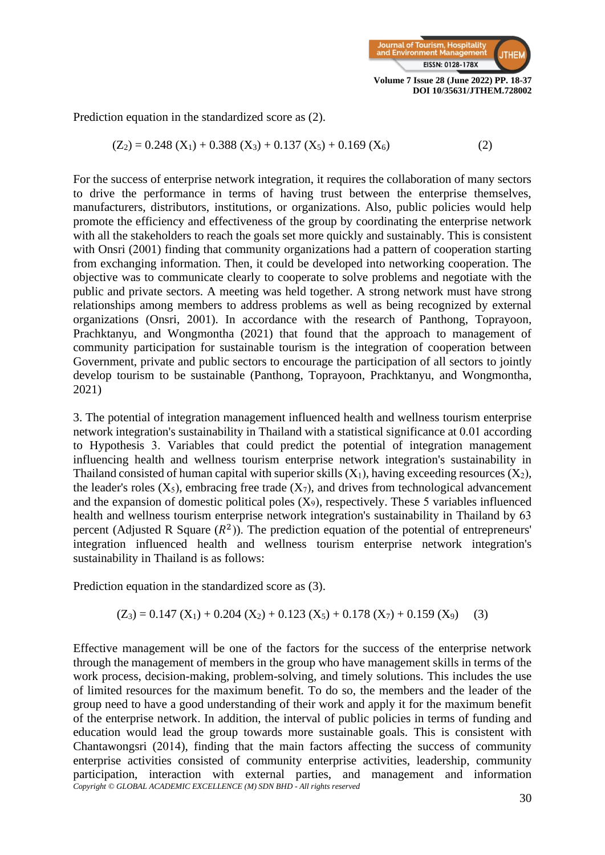

Prediction equation in the standardized score as (2).

$$
(Z_2) = 0.248 (X_1) + 0.388 (X_3) + 0.137 (X_5) + 0.169 (X_6)
$$
 (2)

For the success of enterprise network integration, it requires the collaboration of many sectors to drive the performance in terms of having trust between the enterprise themselves, manufacturers, distributors, institutions, or organizations. Also, public policies would help promote the efficiency and effectiveness of the group by coordinating the enterprise network with all the stakeholders to reach the goals set more quickly and sustainably. This is consistent with Onsri (2001) finding that community organizations had a pattern of cooperation starting from exchanging information. Then, it could be developed into networking cooperation. The objective was to communicate clearly to cooperate to solve problems and negotiate with the public and private sectors. A meeting was held together. A strong network must have strong relationships among members to address problems as well as being recognized by external organizations (Onsri, 2001). In accordance with the research of Panthong, Toprayoon, Prachktanyu, and Wongmontha (2021) that found that the approach to management of community participation for sustainable tourism is the integration of cooperation between Government, private and public sectors to encourage the participation of all sectors to jointly develop tourism to be sustainable (Panthong, Toprayoon, Prachktanyu, and Wongmontha, 2021)

3. The potential of integration management influenced health and wellness tourism enterprise network integration's sustainability in Thailand with a statistical significance at 0.01 according to Hypothesis 3. Variables that could predict the potential of integration management influencing health and wellness tourism enterprise network integration's sustainability in Thailand consisted of human capital with superior skills  $(X_1)$ , having exceeding resources  $(X_2)$ , the leader's roles  $(X_5)$ , embracing free trade  $(X_7)$ , and drives from technological advancement and the expansion of domestic political poles  $(X_9)$ , respectively. These 5 variables influenced health and wellness tourism enterprise network integration's sustainability in Thailand by 63 percent (Adjusted R Square  $(R^2)$ ). The prediction equation of the potential of entrepreneurs' integration influenced health and wellness tourism enterprise network integration's sustainability in Thailand is as follows:

Prediction equation in the standardized score as (3).

$$
(Z_3) = 0.147 (X_1) + 0.204 (X_2) + 0.123 (X_5) + 0.178 (X_7) + 0.159 (X_9)
$$
 (3)

*Copyright © GLOBAL ACADEMIC EXCELLENCE (M) SDN BHD - All rights reserved* Effective management will be one of the factors for the success of the enterprise network through the management of members in the group who have management skills in terms of the work process, decision-making, problem-solving, and timely solutions. This includes the use of limited resources for the maximum benefit. To do so, the members and the leader of the group need to have a good understanding of their work and apply it for the maximum benefit of the enterprise network. In addition, the interval of public policies in terms of funding and education would lead the group towards more sustainable goals. This is consistent with Chantawongsri (2014), finding that the main factors affecting the success of community enterprise activities consisted of community enterprise activities, leadership, community participation, interaction with external parties, and management and information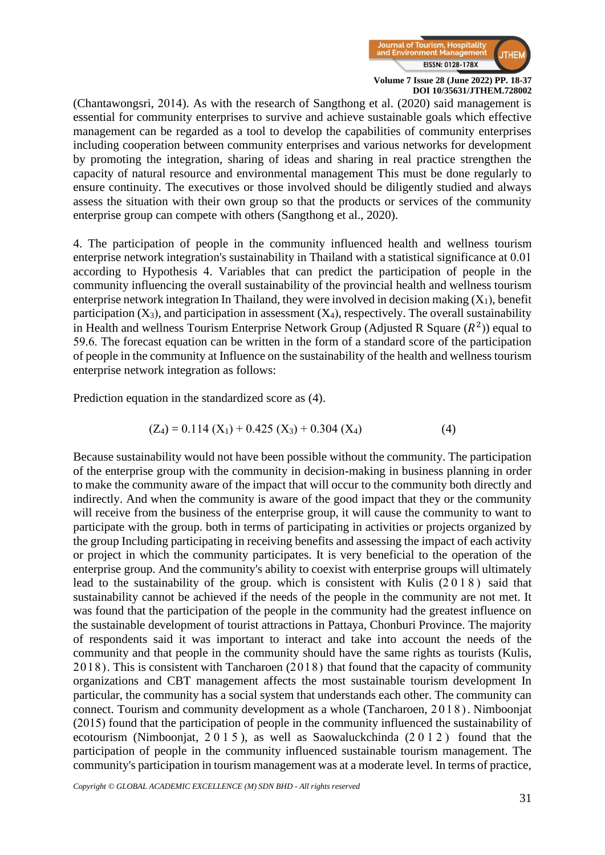

(Chantawongsri, 2014). As with the research of Sangthong et al. (2020) said management is essential for community enterprises to survive and achieve sustainable goals which effective management can be regarded as a tool to develop the capabilities of community enterprises including cooperation between community enterprises and various networks for development by promoting the integration, sharing of ideas and sharing in real practice strengthen the capacity of natural resource and environmental management This must be done regularly to ensure continuity. The executives or those involved should be diligently studied and always assess the situation with their own group so that the products or services of the community enterprise group can compete with others (Sangthong et al., 2020).

4. The participation of people in the community influenced health and wellness tourism enterprise network integration's sustainability in Thailand with a statistical significance at 0.01 according to Hypothesis 4. Variables that can predict the participation of people in the community influencing the overall sustainability of the provincial health and wellness tourism enterprise network integration In Thailand, they were involved in decision making  $(X_1)$ , benefit participation  $(X_3)$ , and participation in assessment  $(X_4)$ , respectively. The overall sustainability in Health and wellness Tourism Enterprise Network Group (Adjusted R Square  $(R^2)$ ) equal to 59.6. The forecast equation can be written in the form of a standard score of the participation of people in the community at Influence on the sustainability of the health and wellness tourism enterprise network integration as follows:

Prediction equation in the standardized score as (4).

$$
(Z_4) = 0.114 (X_1) + 0.425 (X_3) + 0.304 (X_4)
$$
 (4)

Because sustainability would not have been possible without the community. The participation of the enterprise group with the community in decision-making in business planning in order to make the community aware of the impact that will occur to the community both directly and indirectly. And when the community is aware of the good impact that they or the community will receive from the business of the enterprise group, it will cause the community to want to participate with the group. both in terms of participating in activities or projects organized by the group Including participating in receiving benefits and assessing the impact of each activity or project in which the community participates. It is very beneficial to the operation of the enterprise group. And the community's ability to coexist with enterprise groups will ultimately lead to the sustainability of the group. which is consistent with Kulis  $(2018)$  said that sustainability cannot be achieved if the needs of the people in the community are not met. It was found that the participation of the people in the community had the greatest influence on the sustainable development of tourist attractions in Pattaya, Chonburi Province. The majority of respondents said it was important to interact and take into account the needs of the community and that people in the community should have the same rights as tourists (Kulis, 2018). This is consistent with Tancharoen (2018) that found that the capacity of community organizations and CBT management affects the most sustainable tourism development In particular, the community has a social system that understands each other. The community can connect. Tourism and community development as a whole (Tancharoen, 2018). Nimboonjat (2015) found that the participation of people in the community influenced the sustainability of ecotourism (Nimboonjat, 2015 ), as well as Saowaluckchinda (2012) found that the participation of people in the community influenced sustainable tourism management. The community's participation in tourism management was at a moderate level. In terms of practice,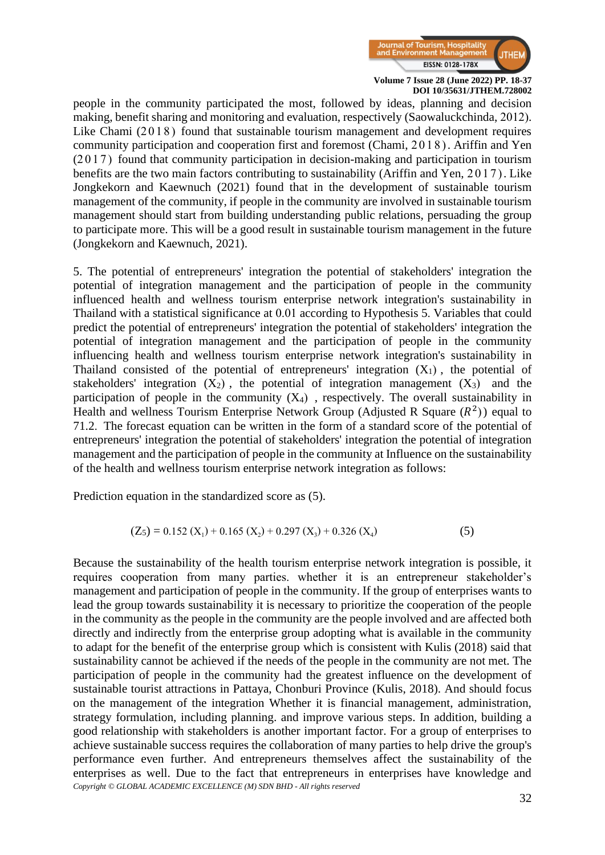

people in the community participated the most, followed by ideas, planning and decision making, benefit sharing and monitoring and evaluation, respectively (Saowaluckchinda, 2012). Like Chami (2018) found that sustainable tourism management and development requires community participation and cooperation first and foremost (Chami, 2018). Ariffin and Yen (2017) found that community participation in decision-making and participation in tourism benefits are the two main factors contributing to sustainability (Ariffin and Yen, 2017). Like Jongkekorn and Kaewnuch (2021) found that in the development of sustainable tourism management of the community, if people in the community are involved in sustainable tourism management should start from building understanding public relations, persuading the group to participate more. This will be a good result in sustainable tourism management in the future (Jongkekorn and Kaewnuch, 2021).

5. The potential of entrepreneurs' integration the potential of stakeholders' integration the potential of integration management and the participation of people in the community influenced health and wellness tourism enterprise network integration's sustainability in Thailand with a statistical significance at 0.01 according to Hypothesis 5. Variables that could predict the potential of entrepreneurs' integration the potential of stakeholders' integration the potential of integration management and the participation of people in the community influencing health and wellness tourism enterprise network integration's sustainability in Thailand consisted of the potential of entrepreneurs' integration  $(X_1)$ , the potential of stakeholders' integration  $(X_2)$ , the potential of integration management  $(X_3)$  and the participation of people in the community  $(X_4)$ , respectively. The overall sustainability in Health and wellness Tourism Enterprise Network Group (Adjusted R Square  $(R^2)$ ) equal to 71.2. The forecast equation can be written in the form of a standard score of the potential of entrepreneurs' integration the potential of stakeholders' integration the potential of integration management and the participation of people in the community at Influence on the sustainability of the health and wellness tourism enterprise network integration as follows:

Prediction equation in the standardized score as (5).

$$
(Z_5) = 0.152 (X_1) + 0.165 (X_2) + 0.297 (X_3) + 0.326 (X_4)
$$
 (5)

*Copyright © GLOBAL ACADEMIC EXCELLENCE (M) SDN BHD - All rights reserved* Because the sustainability of the health tourism enterprise network integration is possible, it requires cooperation from many parties. whether it is an entrepreneur stakeholder's management and participation of people in the community. If the group of enterprises wants to lead the group towards sustainability it is necessary to prioritize the cooperation of the people in the community as the people in the community are the people involved and are affected both directly and indirectly from the enterprise group adopting what is available in the community to adapt for the benefit of the enterprise group which is consistent with Kulis (2018) said that sustainability cannot be achieved if the needs of the people in the community are not met. The participation of people in the community had the greatest influence on the development of sustainable tourist attractions in Pattaya, Chonburi Province (Kulis, 2018). And should focus on the management of the integration Whether it is financial management, administration, strategy formulation, including planning. and improve various steps. In addition, building a good relationship with stakeholders is another important factor. For a group of enterprises to achieve sustainable success requires the collaboration of many parties to help drive the group's performance even further. And entrepreneurs themselves affect the sustainability of the enterprises as well. Due to the fact that entrepreneurs in enterprises have knowledge and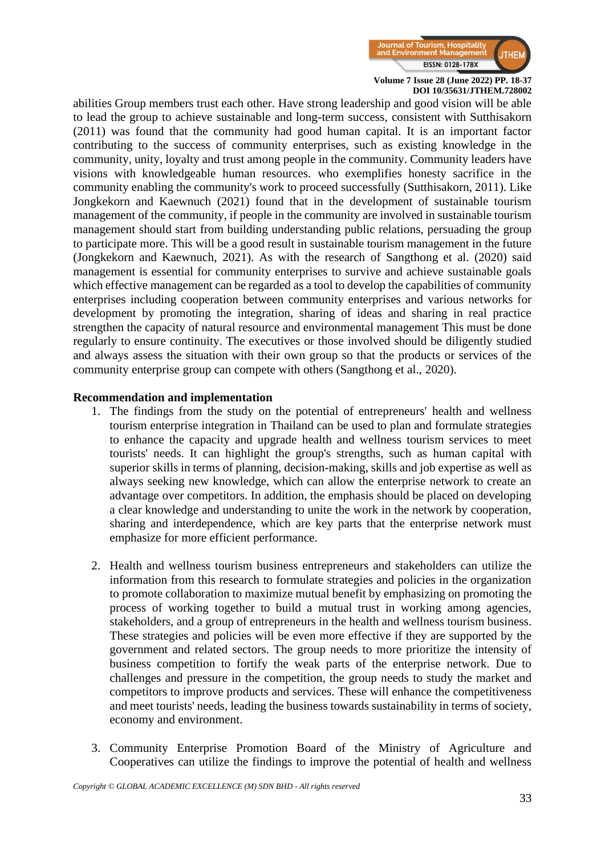

abilities Group members trust each other. Have strong leadership and good vision will be able to lead the group to achieve sustainable and long-term success, consistent with Sutthisakorn (2011) was found that the community had good human capital. It is an important factor contributing to the success of community enterprises, such as existing knowledge in the community, unity, loyalty and trust among people in the community. Community leaders have visions with knowledgeable human resources. who exemplifies honesty sacrifice in the community enabling the community's work to proceed successfully (Sutthisakorn, 2011). Like Jongkekorn and Kaewnuch (2021) found that in the development of sustainable tourism management of the community, if people in the community are involved in sustainable tourism management should start from building understanding public relations, persuading the group to participate more. This will be a good result in sustainable tourism management in the future (Jongkekorn and Kaewnuch, 2021). As with the research of Sangthong et al. (2020) said management is essential for community enterprises to survive and achieve sustainable goals which effective management can be regarded as a tool to develop the capabilities of community enterprises including cooperation between community enterprises and various networks for development by promoting the integration, sharing of ideas and sharing in real practice strengthen the capacity of natural resource and environmental management This must be done regularly to ensure continuity. The executives or those involved should be diligently studied and always assess the situation with their own group so that the products or services of the community enterprise group can compete with others (Sangthong et al., 2020).

#### **Recommendation and implementation**

- 1. The findings from the study on the potential of entrepreneurs' health and wellness tourism enterprise integration in Thailand can be used to plan and formulate strategies to enhance the capacity and upgrade health and wellness tourism services to meet tourists' needs. It can highlight the group's strengths, such as human capital with superior skills in terms of planning, decision-making, skills and job expertise as well as always seeking new knowledge, which can allow the enterprise network to create an advantage over competitors. In addition, the emphasis should be placed on developing a clear knowledge and understanding to unite the work in the network by cooperation, sharing and interdependence, which are key parts that the enterprise network must emphasize for more efficient performance.
- 2. Health and wellness tourism business entrepreneurs and stakeholders can utilize the information from this research to formulate strategies and policies in the organization to promote collaboration to maximize mutual benefit by emphasizing on promoting the process of working together to build a mutual trust in working among agencies, stakeholders, and a group of entrepreneurs in the health and wellness tourism business. These strategies and policies will be even more effective if they are supported by the government and related sectors. The group needs to more prioritize the intensity of business competition to fortify the weak parts of the enterprise network. Due to challenges and pressure in the competition, the group needs to study the market and competitors to improve products and services. These will enhance the competitiveness and meet tourists' needs, leading the business towards sustainability in terms of society, economy and environment.
- 3. Community Enterprise Promotion Board of the Ministry of Agriculture and Cooperatives can utilize the findings to improve the potential of health and wellness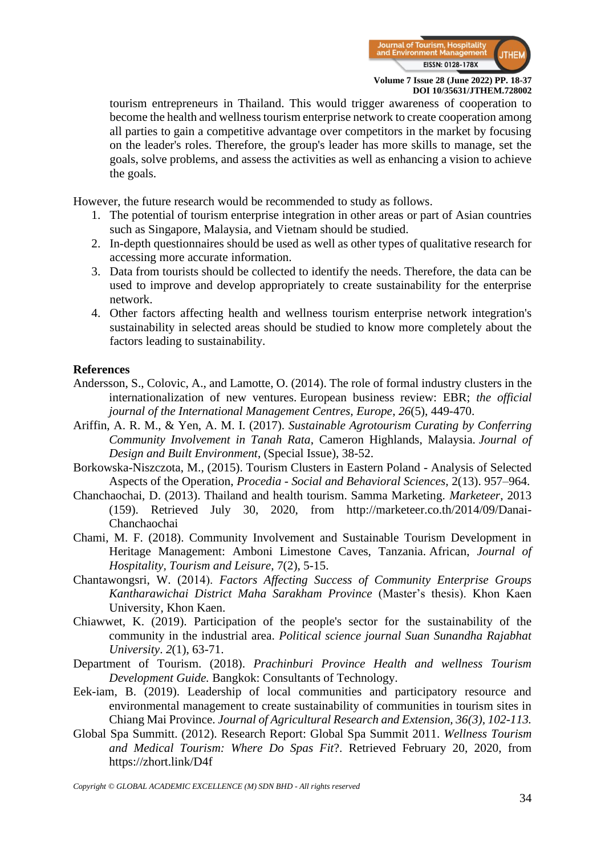

tourism entrepreneurs in Thailand. This would trigger awareness of cooperation to become the health and wellness tourism enterprise network to create cooperation among all parties to gain a competitive advantage over competitors in the market by focusing on the leader's roles. Therefore, the group's leader has more skills to manage, set the goals, solve problems, and assess the activities as well as enhancing a vision to achieve the goals.

However, the future research would be recommended to study as follows.

- 1. The potential of tourism enterprise integration in other areas or part of Asian countries such as Singapore, Malaysia, and Vietnam should be studied.
- 2. In-depth questionnaires should be used as well as other types of qualitative research for accessing more accurate information.
- 3. Data from tourists should be collected to identify the needs. Therefore, the data can be used to improve and develop appropriately to create sustainability for the enterprise network.
- 4. Other factors affecting health and wellness tourism enterprise network integration's sustainability in selected areas should be studied to know more completely about the factors leading to sustainability.

#### **References**

- Andersson, S., Colovic, A., and Lamotte, O. (2014). The role of formal industry clusters in the internationalization of new ventures. European business review: EBR; *the official journal of the International Management Centres, Europe*, *26*(5), 449-470.
- Ariffin, A. R. M., & Yen, A. M. I. (2017). *Sustainable Agrotourism Curating by Conferring Community Involvement in Tanah Rata*, Cameron Highlands, Malaysia. *Journal of Design and Built Environment*, (Special Issue), 38-52.
- Borkowska-Niszczota, M., (2015). Tourism Clusters in Eastern Poland Analysis of Selected Aspects of the Operation, *Procedia - Social and Behavioral Sciences,* 2(13). 957–964.
- Chanchaochai, D. (2013). Thailand and health tourism. Samma Marketing. *Marketeer*, 2013 (159). Retrieved July 30, 2020, from http://marketeer.co.th/2014/09/Danai-Chanchaochai
- Chami, M. F. (2018). Community Involvement and Sustainable Tourism Development in Heritage Management: Amboni Limestone Caves, Tanzania. African, *Journal of Hospitality, Tourism and Leisure*, 7(2), 5-15.
- Chantawongsri, W. (2014). *Factors Affecting Success of Community Enterprise Groups Kantharawichai District Maha Sarakham Province* (Master's thesis). Khon Kaen University, Khon Kaen.
- Chiawwet, K. (2019). Participation of the people's sector for the sustainability of the community in the industrial area. *Political science journal Suan Sunandha Rajabhat University*. *2*(1), 63-71.
- Department of Tourism. (2018). *Prachinburi Province Health and wellness Tourism Development Guide.* Bangkok: Consultants of Technology.
- Eek-iam, B. (2019). Leadership of local communities and participatory resource and environmental management to create sustainability of communities in tourism sites in Chiang Mai Province. *Journal of Agricultural Research and Extension, 36(3), 102-113.*
- Global Spa Summitt. (2012). Research Report: Global Spa Summit 2011. *Wellness Tourism and Medical Tourism: Where Do Spas Fit*?. Retrieved February 20, 2020, from https://zhort.link/D4f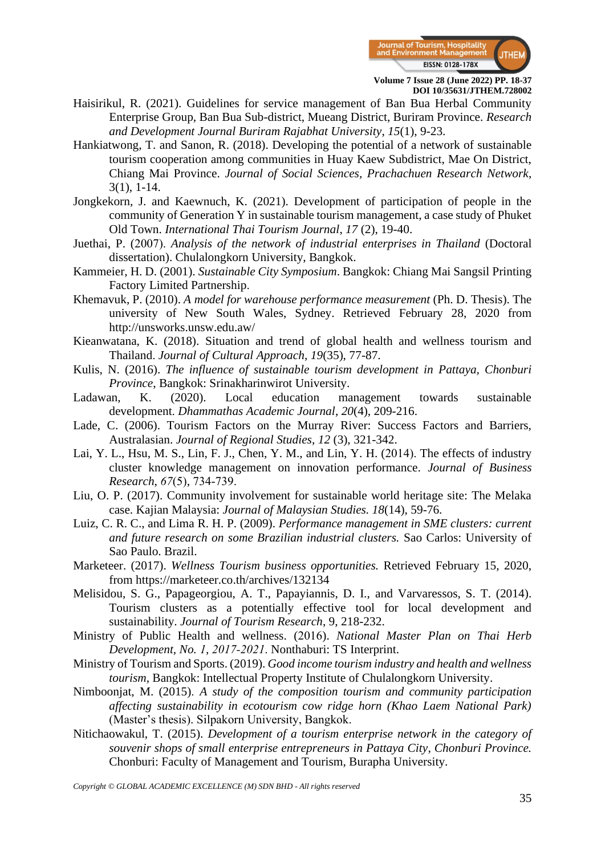

- Haisirikul, R. (2021). Guidelines for service management of Ban Bua Herbal Community Enterprise Group, Ban Bua Sub-district, Mueang District, Buriram Province. *Research and Development Journal Buriram Rajabhat University*, *15*(1), 9-23.
- Hankiatwong, T. and Sanon, R. (2018). Developing the potential of a network of sustainable tourism cooperation among communities in Huay Kaew Subdistrict, Mae On District, Chiang Mai Province. *Journal of Social Sciences, Prachachuen Research Network*, 3(1), 1-14.
- Jongkekorn, J. and Kaewnuch, K. (2021). Development of participation of people in the community of Generation Y in sustainable tourism management, a case study of Phuket Old Town. *International Thai Tourism Journal*, *17* (2), 19-40.
- Juethai, P. (2007). *Analysis of the network of industrial enterprises in Thailand* (Doctoral dissertation). Chulalongkorn University, Bangkok.
- Kammeier, H. D. (2001). *Sustainable City Symposium*. Bangkok: Chiang Mai Sangsil Printing Factory Limited Partnership.
- Khemavuk, P. (2010). *A model for warehouse performance measurement* (Ph. D. Thesis). The university of New South Wales, Sydney. Retrieved February 28, 2020 from http://unsworks.unsw.edu.aw/
- Kieanwatana, K. (2018). Situation and trend of global health and wellness tourism and Thailand. *Journal of Cultural Approach*, *19*(35), 77-87.
- Kulis, N. (2016). *The influence of sustainable tourism development in Pattaya, Chonburi Province*, Bangkok: Srinakharinwirot University.
- Ladawan, K. (2020). Local education management towards sustainable development. *Dhammathas Academic Journal*, *20*(4), 209-216.
- Lade, C. (2006). Tourism Factors on the Murray River: Success Factors and Barriers, Australasian. *Journal of Regional Studies*, *12* (3), 321-342.
- Lai, Y. L., Hsu, M. S., Lin, F. J., Chen, Y. M., and Lin, Y. H. (2014). The effects of industry cluster knowledge management on innovation performance. *Journal of Business Research*, *67*(5), 734-739.
- Liu, O. P. (2017). Community involvement for sustainable world heritage site: The Melaka case. Kajian Malaysia: *Journal of Malaysian Studies. 18*(14), 59-76.
- Luiz, C. R. C., and Lima R. H. P. (2009). *Performance management in SME clusters: current and future research on some Brazilian industrial clusters.* Sao Carlos: University of Sao Paulo. Brazil.
- Marketeer. (2017). *Wellness Tourism business opportunities.* Retrieved February 15, 2020, from <https://marketeer.co.th/archives/132134>
- Melisidou, S. G., Papageorgiou, A. T., Papayiannis, D. I., and Varvaressos, S. T. (2014). Tourism clusters as a potentially effective tool for local development and sustainability. *Journal of Tourism Research*, 9, 218-232.
- Ministry of Public Health and wellness. (2016). *National Master Plan on Thai Herb Development, No. 1, 2017-2021*. Nonthaburi: TS Interprint.
- Ministry of Tourism and Sports. (2019). *Good income tourism industry and health and wellness tourism*, Bangkok: Intellectual Property Institute of Chulalongkorn University.
- Nimboonjat, M. (2015). *A study of the composition tourism and community participation affecting sustainability in ecotourism cow ridge horn (Khao Laem National Park)*  (Master's thesis). Silpakorn University, Bangkok.
- Nitichaowakul, T. (2015). *Development of a tourism enterprise network in the category of souvenir shops of small enterprise entrepreneurs in Pattaya City*, *Chonburi Province.* Chonburi: Faculty of Management and Tourism, Burapha University.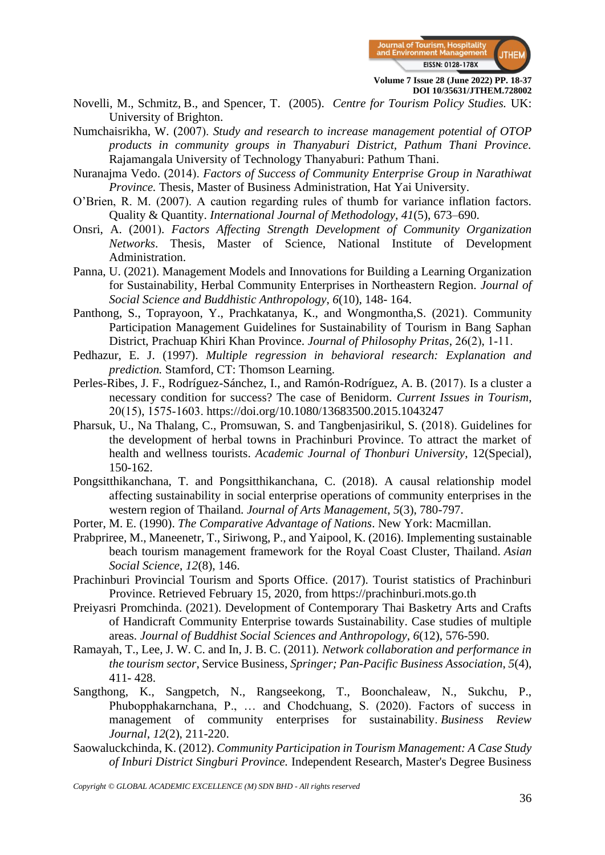

- Novelli, M., Schmitz, B., and Spencer, T. (2005). *Centre for Tourism Policy Studies.* UK: University of Brighton.
- Numchaisrikha, W. (2007). *Study and research to increase management potential of OTOP products in community groups in Thanyaburi District, Pathum Thani Province.* Rajamangala University of Technology Thanyaburi: Pathum Thani.
- Nuranajma Vedo. (2014). *Factors of Success of Community Enterprise Group in Narathiwat Province.* Thesis, Master of Business Administration, Hat Yai University.
- O'Brien, R. M. (2007). A caution regarding rules of thumb for variance inflation factors. Quality & Quantity. *International Journal of Methodology, 41*(5), 673–690.
- Onsri, A. (2001). *Factors Affecting Strength Development of Community Organization Networks*. Thesis, Master of Science, National Institute of Development Administration.
- Panna, U. (2021). Management Models and Innovations for Building a Learning Organization for Sustainability, Herbal Community Enterprises in Northeastern Region. *Journal of Social Science and Buddhistic Anthropology*, *6*(10), 148- 164.
- Panthong, S., Toprayoon, Y., Prachkatanya, K., and Wongmontha,S. (2021). Community Participation Management Guidelines for Sustainability of Tourism in Bang Saphan District, Prachuap Khiri Khan Province. *Journal of Philosophy Pritas*, 26(2), 1-11.
- Pedhazur, E. J. (1997). *Multiple regression in behavioral research: Explanation and prediction.* Stamford, CT: Thomson Learning.
- Perles-Ribes, J. F., Rodríguez-Sánchez, I., and Ramón-Rodríguez, A. B. (2017). Is a cluster a necessary condition for success? The case of Benidorm. *Current Issues in Tourism*, 20(15), 1575-1603. https://doi.org/10.1080/13683500.2015.1043247
- Pharsuk, U., Na Thalang, C., Promsuwan, S. and Tangbenjasirikul, S. (2018). Guidelines for the development of herbal towns in Prachinburi Province. To attract the market of health and wellness tourists. *Academic Journal of Thonburi University*, 12(Special), 150-162.
- Pongsitthikanchana, T. and Pongsitthikanchana, C. (2018). A causal relationship model affecting sustainability in social enterprise operations of community enterprises in the western region of Thailand. *Journal of Arts Management*, *5*(3), 780-797.
- Porter, M. E. (1990). *The Comparative Advantage of Nations*. New York: Macmillan.
- Prabpriree, M., Maneenetr, T., Siriwong, P., and Yaipool, K. (2016). Implementing sustainable beach tourism management framework for the Royal Coast Cluster, Thailand. *Asian Social Science*, *12*(8), 146.
- Prachinburi Provincial Tourism and Sports Office. (2017). Tourist statistics of Prachinburi Province. Retrieved February 15, 2020, from https://prachinburi.mots.go.th
- Preiyasri Promchinda. (2021). Development of Contemporary Thai Basketry Arts and Crafts of Handicraft Community Enterprise towards Sustainability. Case studies of multiple areas. *Journal of Buddhist Social Sciences and Anthropology*, *6*(12), 576-590.
- Ramayah, T., Lee, J. W. C. and In, J. B. C. (2011)*. Network collaboration and performance in the tourism sector*, Service Business, *Springer; Pan-Pacific Business Association*, *5*(4), 411- 428.
- Sangthong, K., Sangpetch, N., Rangseekong, T., Boonchaleaw, N., Sukchu, P., Phubopphakarnchana, P., … and Chodchuang, S. (2020). Factors of success in management of community enterprises for sustainability. *Business Review Journal*, *12*(2), 211-220.
- Saowaluckchinda, K. (2012). *Community Participation in Tourism Management: A Case Study of Inburi District Singburi Province.* Independent Research, Master's Degree Business